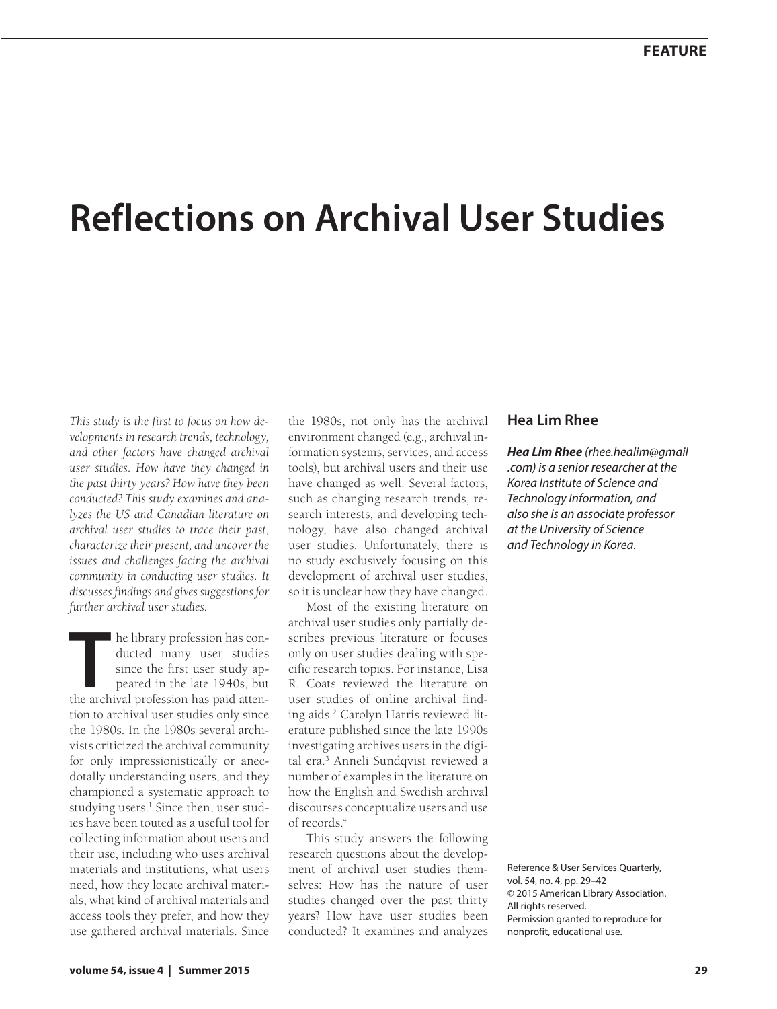# **Reflections on Archival User Studies**

*This study is the first to focus on how developments in research trends, technology, and other factors have changed archival user studies. How have they changed in the past thirty years? How have they been conducted? This study examines and analyzes the US and Canadian literature on archival user studies to trace their past, characterize their present, and uncover the issues and challenges facing the archival community in conducting user studies. It discusses findings and gives suggestions for further archival user studies.*

**THE HE ARE SERVING MANUSTER 1940S AND MODEL STATE STARK SHOWSTERN PROPERTY AND PEACE ARE APPLY AT A PROPERTY AND THE APPLY AND THE APPLY APPLY AND THE APPLY APPLY APPLY APPLY APPLY APPLY APPLY APPLY APPLY APPLY APPLY APPL** ducted many user studies since the first user study appeared in the late 1940s, but tion to archival user studies only since the 1980s. In the 1980s several archivists criticized the archival community for only impressionistically or anecdotally understanding users, and they championed a systematic approach to studying users.<sup>1</sup> Since then, user studies have been touted as a useful tool for collecting information about users and their use, including who uses archival materials and institutions, what users need, how they locate archival materials, what kind of archival materials and access tools they prefer, and how they use gathered archival materials. Since

the 1980s, not only has the archival environment changed (e.g., archival information systems, services, and access tools), but archival users and their use have changed as well. Several factors, such as changing research trends, research interests, and developing technology, have also changed archival user studies. Unfortunately, there is no study exclusively focusing on this development of archival user studies, so it is unclear how they have changed.

Most of the existing literature on archival user studies only partially describes previous literature or focuses only on user studies dealing with specific research topics. For instance, Lisa R. Coats reviewed the literature on user studies of online archival finding aids.2 Carolyn Harris reviewed literature published since the late 1990s investigating archives users in the digital era.3 Anneli Sundqvist reviewed a number of examples in the literature on how the English and Swedish archival discourses conceptualize users and use of records.4

This study answers the following research questions about the development of archival user studies themselves: How has the nature of user studies changed over the past thirty years? How have user studies been conducted? It examines and analyzes

## **Hea Lim Rhee**

*Hea Lim Rhee (rhee.healim@gmail .com) is a senior researcher at the Korea Institute of Science and Technology Information, and also she is an associate professor at the University of Science and Technology in Korea.*

Reference & User Services Quarterly, vol. 54, no. 4, pp. 29–42 © 2015 American Library Association. All rights reserved. Permission granted to reproduce for nonprofit, educational use.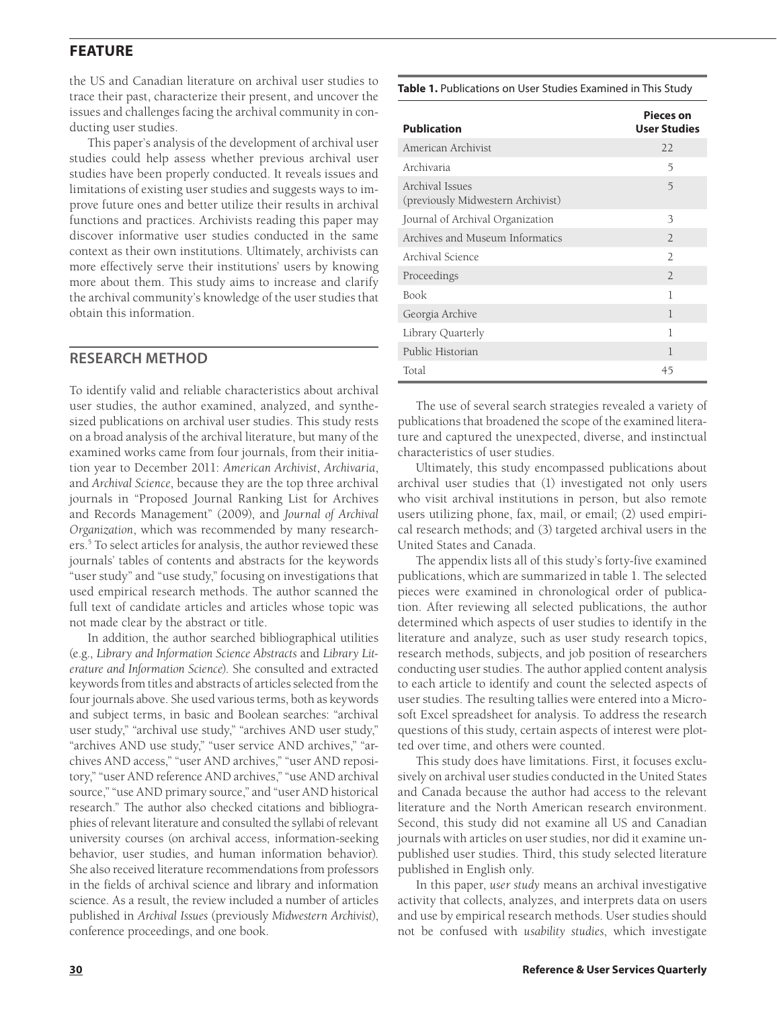the US and Canadian literature on archival user studies to trace their past, characterize their present, and uncover the issues and challenges facing the archival community in conducting user studies.

This paper's analysis of the development of archival user studies could help assess whether previous archival user studies have been properly conducted. It reveals issues and limitations of existing user studies and suggests ways to improve future ones and better utilize their results in archival functions and practices. Archivists reading this paper may discover informative user studies conducted in the same context as their own institutions. Ultimately, archivists can more effectively serve their institutions' users by knowing more about them. This study aims to increase and clarify the archival community's knowledge of the user studies that obtain this information.

## **RESEARCH METHOD**

To identify valid and reliable characteristics about archival user studies, the author examined, analyzed, and synthesized publications on archival user studies. This study rests on a broad analysis of the archival literature, but many of the examined works came from four journals, from their initiation year to December 2011: *American Archivist*, *Archivaria*, and *Archival Science*, because they are the top three archival journals in "Proposed Journal Ranking List for Archives and Records Management" (2009), and *Journal of Archival Organization*, which was recommended by many researchers.5 To select articles for analysis, the author reviewed these journals' tables of contents and abstracts for the keywords "user study" and "use study," focusing on investigations that used empirical research methods. The author scanned the full text of candidate articles and articles whose topic was not made clear by the abstract or title.

In addition, the author searched bibliographical utilities (e.g., *Library and Information Science Abstracts* and *Library Literature and Information Science*). She consulted and extracted keywords from titles and abstracts of articles selected from the four journals above. She used various terms, both as keywords and subject terms, in basic and Boolean searches: "archival user study," "archival use study," "archives AND user study," "archives AND use study," "user service AND archives," "archives AND access," "user AND archives," "user AND repository," "user AND reference AND archives," "use AND archival source," "use AND primary source," and "user AND historical research." The author also checked citations and bibliographies of relevant literature and consulted the syllabi of relevant university courses (on archival access, information-seeking behavior, user studies, and human information behavior). She also received literature recommendations from professors in the fields of archival science and library and information science. As a result, the review included a number of articles published in *Archival Issues* (previously *Midwestern Archivist*), conference proceedings, and one book.

**Table 1.** Publications on User Studies Examined in This Study

| <b>Publication</b>                                   | <b>Pieces</b> on<br><b>User Studies</b> |
|------------------------------------------------------|-----------------------------------------|
| American Archivist                                   | 22                                      |
| Archivaria                                           | 5                                       |
| Archival Issues<br>(previously Midwestern Archivist) | 5                                       |
| Journal of Archival Organization                     | 3                                       |
| Archives and Museum Informatics                      | $\mathcal{L}$                           |
| Archival Science                                     | $\overline{2}$                          |
| Proceedings                                          | $\overline{2}$                          |
| Book                                                 | 1                                       |
| Georgia Archive                                      | 1                                       |
| Library Quarterly                                    | 1                                       |
| Public Historian                                     | 1                                       |
| Total                                                | 45                                      |

The use of several search strategies revealed a variety of publications that broadened the scope of the examined literature and captured the unexpected, diverse, and instinctual characteristics of user studies.

Ultimately, this study encompassed publications about archival user studies that (1) investigated not only users who visit archival institutions in person, but also remote users utilizing phone, fax, mail, or email; (2) used empirical research methods; and (3) targeted archival users in the United States and Canada.

The appendix lists all of this study's forty-five examined publications, which are summarized in table 1. The selected pieces were examined in chronological order of publication. After reviewing all selected publications, the author determined which aspects of user studies to identify in the literature and analyze, such as user study research topics, research methods, subjects, and job position of researchers conducting user studies. The author applied content analysis to each article to identify and count the selected aspects of user studies. The resulting tallies were entered into a Microsoft Excel spreadsheet for analysis. To address the research questions of this study, certain aspects of interest were plotted over time, and others were counted.

This study does have limitations. First, it focuses exclusively on archival user studies conducted in the United States and Canada because the author had access to the relevant literature and the North American research environment. Second, this study did not examine all US and Canadian journals with articles on user studies, nor did it examine unpublished user studies. Third, this study selected literature published in English only.

In this paper, *user study* means an archival investigative activity that collects, analyzes, and interprets data on users and use by empirical research methods. User studies should not be confused with *usability studies*, which investigate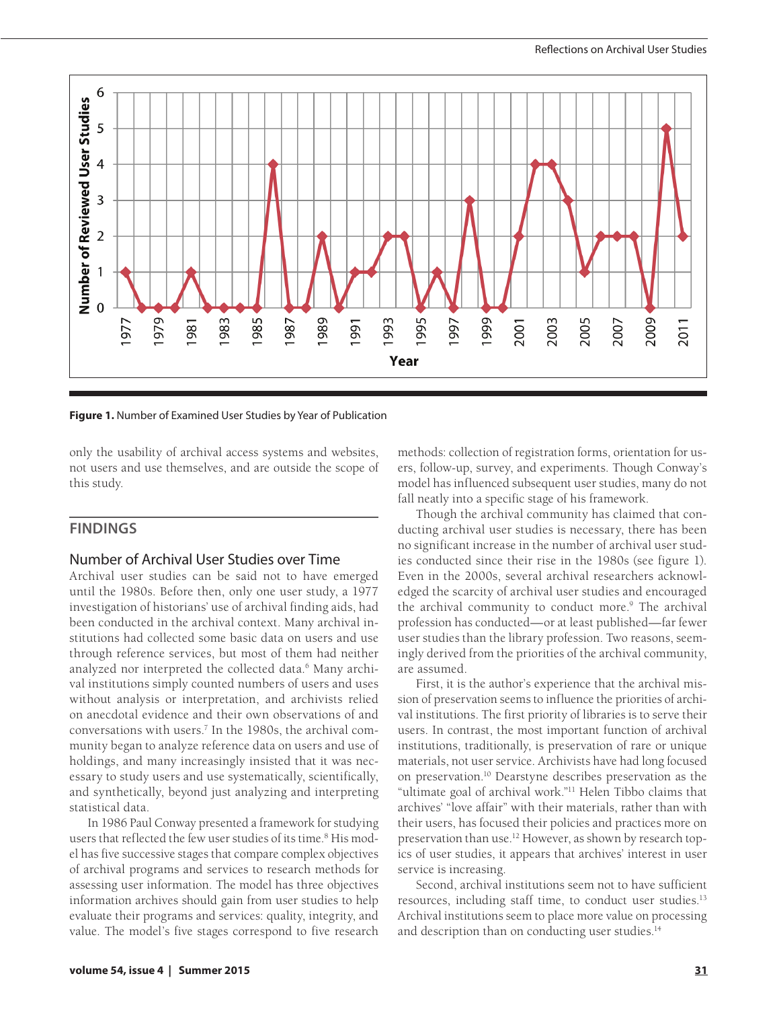

**Figure 1.** Number of Examined User Studies by Year of Publication

only the usability of archival access systems and websites, not users and use themselves, and are outside the scope of this study.

# **FINDINGS**

### Number of Archival User Studies over Time

Archival user studies can be said not to have emerged until the 1980s. Before then, only one user study, a 1977 investigation of historians' use of archival finding aids, had been conducted in the archival context. Many archival institutions had collected some basic data on users and use through reference services, but most of them had neither analyzed nor interpreted the collected data.<sup>6</sup> Many archival institutions simply counted numbers of users and uses without analysis or interpretation, and archivists relied on anecdotal evidence and their own observations of and conversations with users.7 In the 1980s, the archival community began to analyze reference data on users and use of holdings, and many increasingly insisted that it was necessary to study users and use systematically, scientifically, and synthetically, beyond just analyzing and interpreting statistical data.

In 1986 Paul Conway presented a framework for studying users that reflected the few user studies of its time.<sup>8</sup> His model has five successive stages that compare complex objectives of archival programs and services to research methods for assessing user information. The model has three objectives information archives should gain from user studies to help evaluate their programs and services: quality, integrity, and value. The model's five stages correspond to five research

methods: collection of registration forms, orientation for users, follow-up, survey, and experiments. Though Conway's model has influenced subsequent user studies, many do not fall neatly into a specific stage of his framework.

Though the archival community has claimed that conducting archival user studies is necessary, there has been no significant increase in the number of archival user studies conducted since their rise in the 1980s (see figure 1). Even in the 2000s, several archival researchers acknowledged the scarcity of archival user studies and encouraged the archival community to conduct more.<sup>9</sup> The archival profession has conducted—or at least published—far fewer user studies than the library profession. Two reasons, seemingly derived from the priorities of the archival community, are assumed.

First, it is the author's experience that the archival mission of preservation seems to influence the priorities of archival institutions. The first priority of libraries is to serve their users. In contrast, the most important function of archival institutions, traditionally, is preservation of rare or unique materials, not user service. Archivists have had long focused on preservation.10 Dearstyne describes preservation as the "ultimate goal of archival work."11 Helen Tibbo claims that archives' "love affair" with their materials, rather than with their users, has focused their policies and practices more on preservation than use.12 However, as shown by research topics of user studies, it appears that archives' interest in user service is increasing.

Second, archival institutions seem not to have sufficient resources, including staff time, to conduct user studies.<sup>13</sup> Archival institutions seem to place more value on processing and description than on conducting user studies.<sup>14</sup>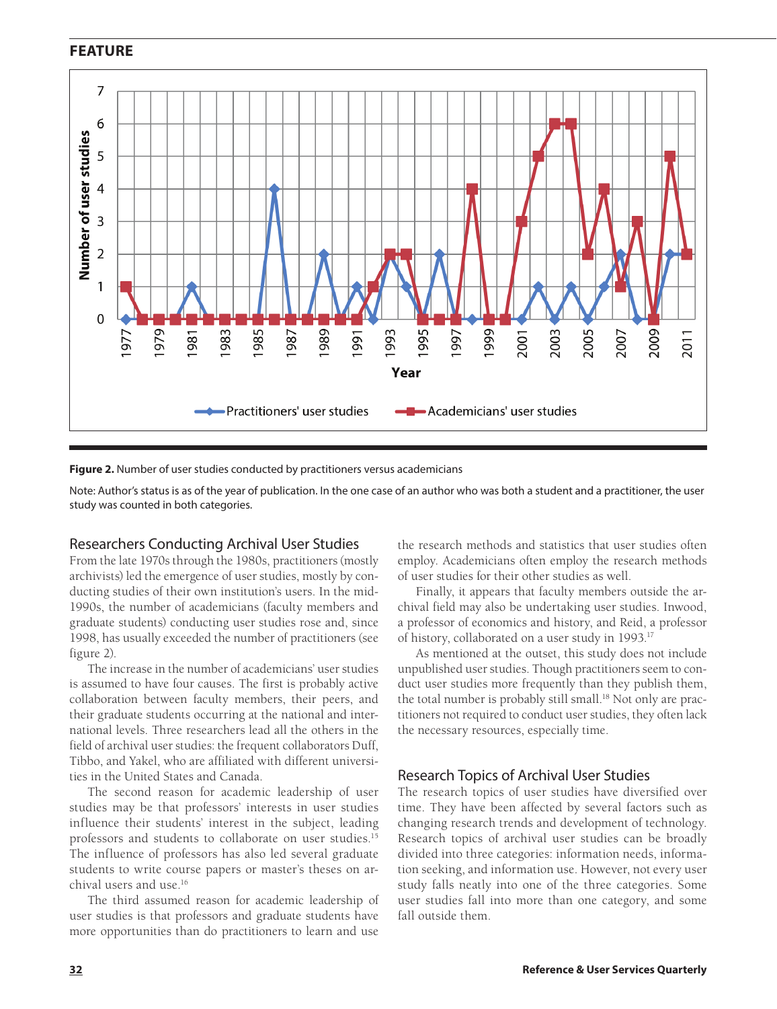

#### **Figure 2.** Number of user studies conducted by practitioners versus academicians

Note: Author's status is as of the year of publication. In the one case of an author who was both a student and a practitioner, the user study was counted in both categories.

#### Researchers Conducting Archival User Studies

From the late 1970s through the 1980s, practitioners (mostly archivists) led the emergence of user studies, mostly by conducting studies of their own institution's users. In the mid-1990s, the number of academicians (faculty members and graduate students) conducting user studies rose and, since 1998, has usually exceeded the number of practitioners (see figure 2).

The increase in the number of academicians' user studies is assumed to have four causes. The first is probably active collaboration between faculty members, their peers, and their graduate students occurring at the national and international levels. Three researchers lead all the others in the field of archival user studies: the frequent collaborators Duff, Tibbo, and Yakel, who are affiliated with different universities in the United States and Canada.

The second reason for academic leadership of user studies may be that professors' interests in user studies influence their students' interest in the subject, leading professors and students to collaborate on user studies.15 The influence of professors has also led several graduate students to write course papers or master's theses on archival users and use <sup>16</sup>

The third assumed reason for academic leadership of user studies is that professors and graduate students have more opportunities than do practitioners to learn and use

the research methods and statistics that user studies often employ. Academicians often employ the research methods of user studies for their other studies as well.

Finally, it appears that faculty members outside the archival field may also be undertaking user studies. Inwood, a professor of economics and history, and Reid, a professor of history, collaborated on a user study in 1993.<sup>17</sup>

As mentioned at the outset, this study does not include unpublished user studies. Though practitioners seem to conduct user studies more frequently than they publish them, the total number is probably still small.<sup>18</sup> Not only are practitioners not required to conduct user studies, they often lack the necessary resources, especially time.

#### Research Topics of Archival User Studies

The research topics of user studies have diversified over time. They have been affected by several factors such as changing research trends and development of technology. Research topics of archival user studies can be broadly divided into three categories: information needs, information seeking, and information use. However, not every user study falls neatly into one of the three categories. Some user studies fall into more than one category, and some fall outside them.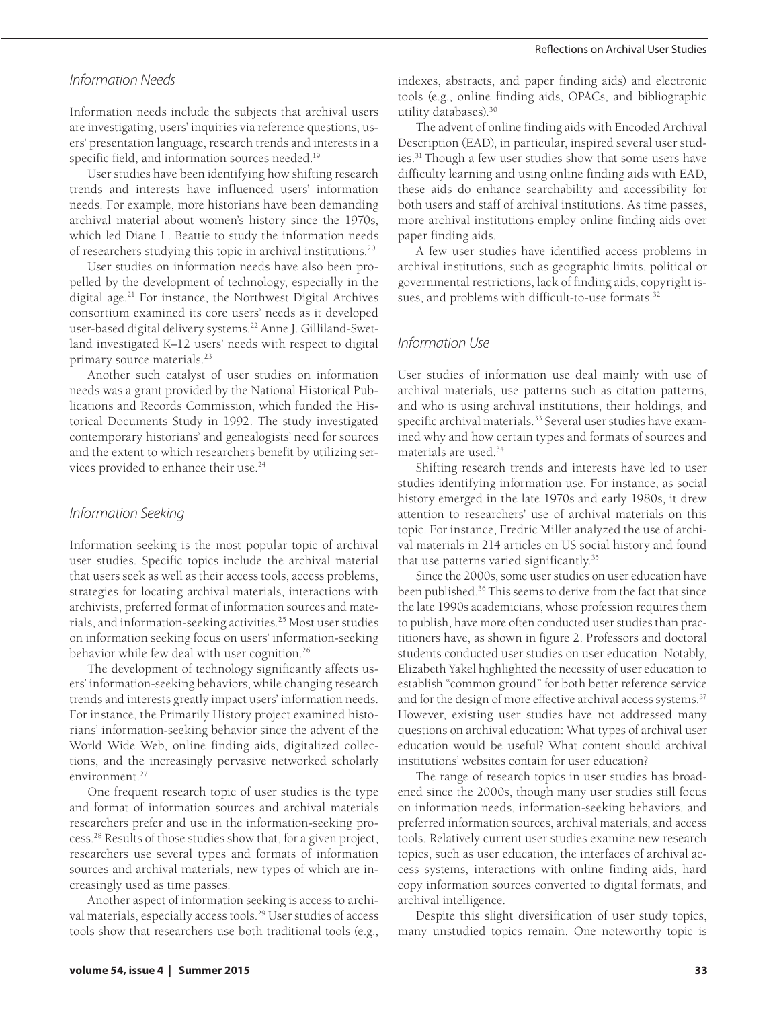#### *Information Needs*

Information needs include the subjects that archival users are investigating, users' inquiries via reference questions, users' presentation language, research trends and interests in a specific field, and information sources needed.<sup>19</sup>

User studies have been identifying how shifting research trends and interests have influenced users' information needs. For example, more historians have been demanding archival material about women's history since the 1970s, which led Diane L. Beattie to study the information needs of researchers studying this topic in archival institutions.20

User studies on information needs have also been propelled by the development of technology, especially in the digital age.21 For instance, the Northwest Digital Archives consortium examined its core users' needs as it developed user-based digital delivery systems.<sup>22</sup> Anne J. Gilliland-Swetland investigated K–12 users' needs with respect to digital primary source materials.<sup>23</sup>

Another such catalyst of user studies on information needs was a grant provided by the National Historical Publications and Records Commission, which funded the Historical Documents Study in 1992. The study investigated contemporary historians' and genealogists' need for sources and the extent to which researchers benefit by utilizing services provided to enhance their use.<sup>24</sup>

#### *Information Seeking*

Information seeking is the most popular topic of archival user studies. Specific topics include the archival material that users seek as well as their access tools, access problems, strategies for locating archival materials, interactions with archivists, preferred format of information sources and materials, and information-seeking activities.25 Most user studies on information seeking focus on users' information-seeking behavior while few deal with user cognition.<sup>26</sup>

The development of technology significantly affects users' information-seeking behaviors, while changing research trends and interests greatly impact users' information needs. For instance, the Primarily History project examined historians' information-seeking behavior since the advent of the World Wide Web, online finding aids, digitalized collections, and the increasingly pervasive networked scholarly environment.<sup>27</sup>

One frequent research topic of user studies is the type and format of information sources and archival materials researchers prefer and use in the information-seeking process.28 Results of those studies show that, for a given project, researchers use several types and formats of information sources and archival materials, new types of which are increasingly used as time passes.

Another aspect of information seeking is access to archival materials, especially access tools.<sup>29</sup> User studies of access tools show that researchers use both traditional tools (e.g.,

indexes, abstracts, and paper finding aids) and electronic tools (e.g., online finding aids, OPACs, and bibliographic utility databases).30

The advent of online finding aids with Encoded Archival Description (EAD), in particular, inspired several user studies.31 Though a few user studies show that some users have difficulty learning and using online finding aids with EAD, these aids do enhance searchability and accessibility for both users and staff of archival institutions. As time passes, more archival institutions employ online finding aids over paper finding aids.

A few user studies have identified access problems in archival institutions, such as geographic limits, political or governmental restrictions, lack of finding aids, copyright issues, and problems with difficult-to-use formats.<sup>32</sup>

#### *Information Use*

User studies of information use deal mainly with use of archival materials, use patterns such as citation patterns, and who is using archival institutions, their holdings, and specific archival materials.<sup>33</sup> Several user studies have examined why and how certain types and formats of sources and materials are used.34

Shifting research trends and interests have led to user studies identifying information use. For instance, as social history emerged in the late 1970s and early 1980s, it drew attention to researchers' use of archival materials on this topic. For instance, Fredric Miller analyzed the use of archival materials in 214 articles on US social history and found that use patterns varied significantly.35

Since the 2000s, some user studies on user education have been published.36 This seems to derive from the fact that since the late 1990s academicians, whose profession requires them to publish, have more often conducted user studies than practitioners have, as shown in figure 2. Professors and doctoral students conducted user studies on user education. Notably, Elizabeth Yakel highlighted the necessity of user education to establish "common ground" for both better reference service and for the design of more effective archival access systems.<sup>37</sup> However, existing user studies have not addressed many questions on archival education: What types of archival user education would be useful? What content should archival institutions' websites contain for user education?

The range of research topics in user studies has broadened since the 2000s, though many user studies still focus on information needs, information-seeking behaviors, and preferred information sources, archival materials, and access tools. Relatively current user studies examine new research topics, such as user education, the interfaces of archival access systems, interactions with online finding aids, hard copy information sources converted to digital formats, and archival intelligence.

Despite this slight diversification of user study topics, many unstudied topics remain. One noteworthy topic is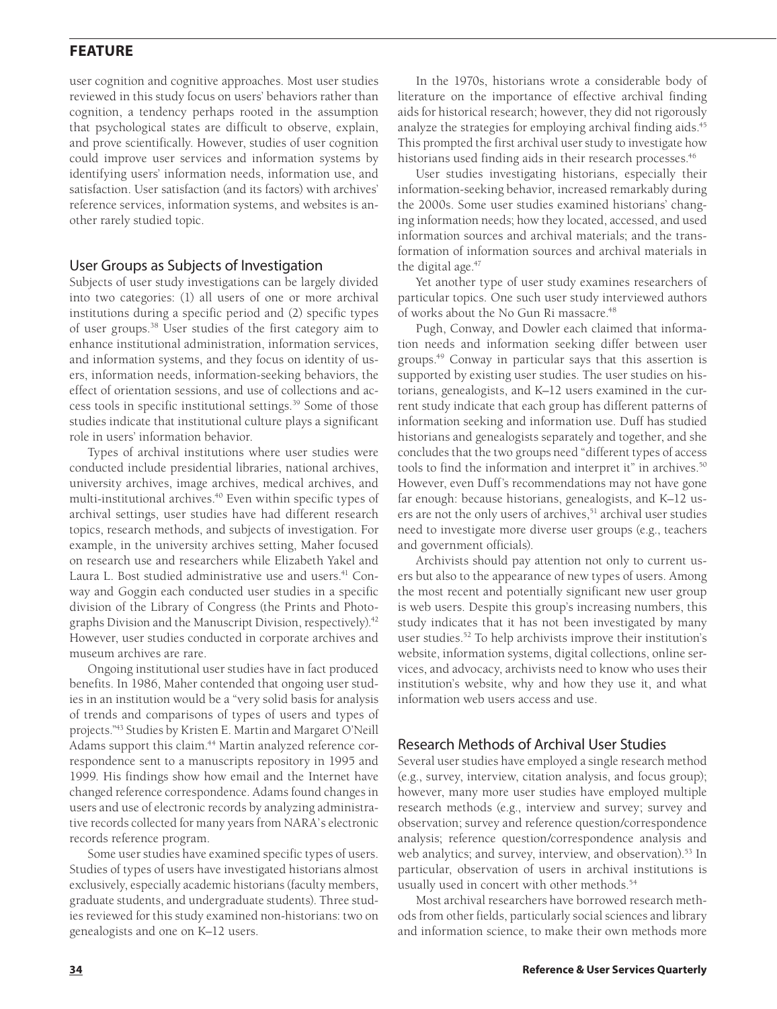user cognition and cognitive approaches. Most user studies reviewed in this study focus on users' behaviors rather than cognition, a tendency perhaps rooted in the assumption that psychological states are difficult to observe, explain, and prove scientifically. However, studies of user cognition could improve user services and information systems by identifying users' information needs, information use, and satisfaction. User satisfaction (and its factors) with archives' reference services, information systems, and websites is another rarely studied topic.

#### User Groups as Subjects of Investigation

Subjects of user study investigations can be largely divided into two categories: (1) all users of one or more archival institutions during a specific period and (2) specific types of user groups.38 User studies of the first category aim to enhance institutional administration, information services, and information systems, and they focus on identity of users, information needs, information-seeking behaviors, the effect of orientation sessions, and use of collections and access tools in specific institutional settings.39 Some of those studies indicate that institutional culture plays a significant role in users' information behavior.

Types of archival institutions where user studies were conducted include presidential libraries, national archives, university archives, image archives, medical archives, and multi-institutional archives.<sup>40</sup> Even within specific types of archival settings, user studies have had different research topics, research methods, and subjects of investigation. For example, in the university archives setting, Maher focused on research use and researchers while Elizabeth Yakel and Laura L. Bost studied administrative use and users.<sup>41</sup> Conway and Goggin each conducted user studies in a specific division of the Library of Congress (the Prints and Photographs Division and the Manuscript Division, respectively).<sup>42</sup> However, user studies conducted in corporate archives and museum archives are rare.

Ongoing institutional user studies have in fact produced benefits. In 1986, Maher contended that ongoing user studies in an institution would be a "very solid basis for analysis of trends and comparisons of types of users and types of projects."43 Studies by Kristen E. Martin and Margaret O'Neill Adams support this claim.<sup>44</sup> Martin analyzed reference correspondence sent to a manuscripts repository in 1995 and 1999. His findings show how email and the Internet have changed reference correspondence. Adams found changes in users and use of electronic records by analyzing administrative records collected for many years from NARA's electronic records reference program.

Some user studies have examined specific types of users. Studies of types of users have investigated historians almost exclusively, especially academic historians (faculty members, graduate students, and undergraduate students). Three studies reviewed for this study examined non-historians: two on genealogists and one on K–12 users.

In the 1970s, historians wrote a considerable body of literature on the importance of effective archival finding aids for historical research; however, they did not rigorously analyze the strategies for employing archival finding aids.<sup>45</sup> This prompted the first archival user study to investigate how historians used finding aids in their research processes.<sup>46</sup>

User studies investigating historians, especially their information-seeking behavior, increased remarkably during the 2000s. Some user studies examined historians' changing information needs; how they located, accessed, and used information sources and archival materials; and the transformation of information sources and archival materials in the digital age.<sup>47</sup>

Yet another type of user study examines researchers of particular topics. One such user study interviewed authors of works about the No Gun Ri massacre.<sup>48</sup>

Pugh, Conway, and Dowler each claimed that information needs and information seeking differ between user groups.49 Conway in particular says that this assertion is supported by existing user studies. The user studies on historians, genealogists, and K–12 users examined in the current study indicate that each group has different patterns of information seeking and information use. Duff has studied historians and genealogists separately and together, and she concludes that the two groups need "different types of access tools to find the information and interpret it" in archives.<sup>50</sup> However, even Duff's recommendations may not have gone far enough: because historians, genealogists, and K–12 users are not the only users of archives,<sup>51</sup> archival user studies need to investigate more diverse user groups (e.g., teachers and government officials).

Archivists should pay attention not only to current users but also to the appearance of new types of users. Among the most recent and potentially significant new user group is web users. Despite this group's increasing numbers, this study indicates that it has not been investigated by many user studies.52 To help archivists improve their institution's website, information systems, digital collections, online services, and advocacy, archivists need to know who uses their institution's website, why and how they use it, and what information web users access and use.

## Research Methods of Archival User Studies

Several user studies have employed a single research method (e.g., survey, interview, citation analysis, and focus group); however, many more user studies have employed multiple research methods (e.g., interview and survey; survey and observation; survey and reference question/correspondence analysis; reference question/correspondence analysis and web analytics; and survey, interview, and observation).<sup>53</sup> In particular, observation of users in archival institutions is usually used in concert with other methods.<sup>54</sup>

Most archival researchers have borrowed research methods from other fields, particularly social sciences and library and information science, to make their own methods more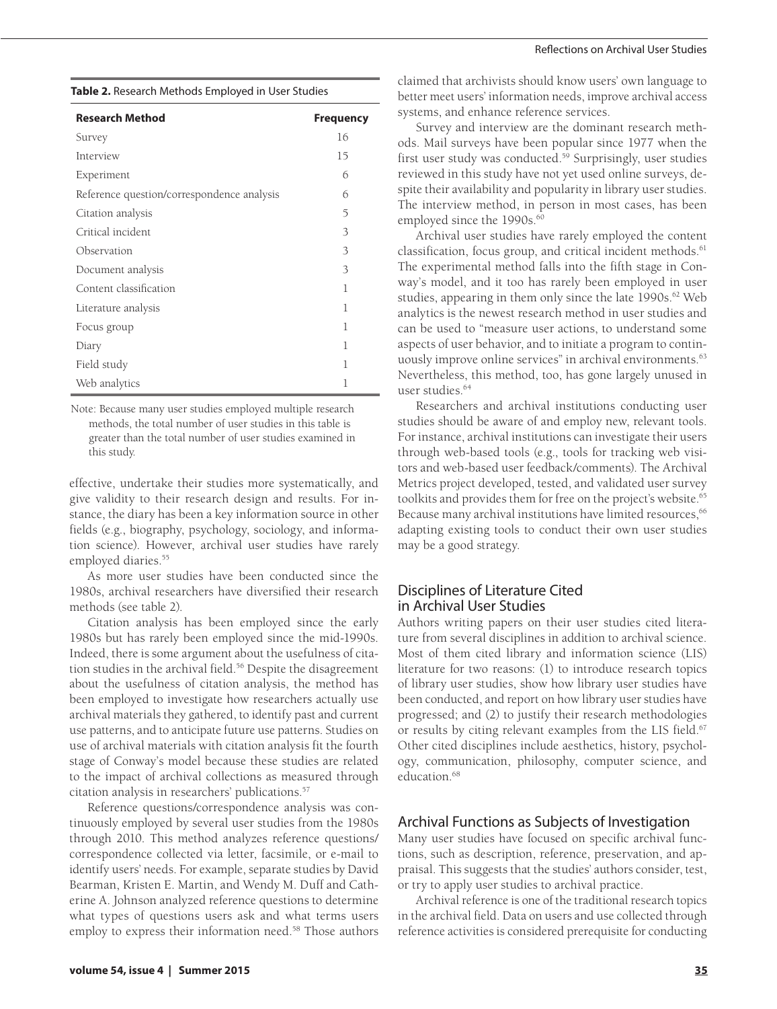**Table 2.** Research Methods Employed in User Studies

| <b>Research Method</b>                     | <b>Frequency</b> |
|--------------------------------------------|------------------|
| Survey                                     | 16               |
| Interview                                  | 15               |
| Experiment                                 | 6                |
| Reference question/correspondence analysis | 6                |
| Citation analysis                          | 5                |
| Critical incident                          | 3                |
| Observation                                | 3                |
| Document analysis                          | 3                |
| Content classification                     | 1                |
| Literature analysis                        | 1                |
| Focus group                                | 1                |
| Diary                                      | 1                |
| Field study                                | 1                |
| Web analytics                              | 1                |

Note: Because many user studies employed multiple research methods, the total number of user studies in this table is greater than the total number of user studies examined in this study.

effective, undertake their studies more systematically, and give validity to their research design and results. For instance, the diary has been a key information source in other fields (e.g., biography, psychology, sociology, and information science). However, archival user studies have rarely employed diaries.<sup>55</sup>

As more user studies have been conducted since the 1980s, archival researchers have diversified their research methods (see table 2).

Citation analysis has been employed since the early 1980s but has rarely been employed since the mid-1990s. Indeed, there is some argument about the usefulness of citation studies in the archival field.<sup>56</sup> Despite the disagreement about the usefulness of citation analysis, the method has been employed to investigate how researchers actually use archival materials they gathered, to identify past and current use patterns, and to anticipate future use patterns. Studies on use of archival materials with citation analysis fit the fourth stage of Conway's model because these studies are related to the impact of archival collections as measured through citation analysis in researchers' publications.<sup>57</sup>

Reference questions/correspondence analysis was continuously employed by several user studies from the 1980s through 2010. This method analyzes reference questions/ correspondence collected via letter, facsimile, or e-mail to identify users' needs. For example, separate studies by David Bearman, Kristen E. Martin, and Wendy M. Duff and Catherine A. Johnson analyzed reference questions to determine what types of questions users ask and what terms users employ to express their information need.<sup>58</sup> Those authors

claimed that archivists should know users' own language to better meet users' information needs, improve archival access systems, and enhance reference services.

Survey and interview are the dominant research methods. Mail surveys have been popular since 1977 when the first user study was conducted.<sup>59</sup> Surprisingly, user studies reviewed in this study have not yet used online surveys, despite their availability and popularity in library user studies. The interview method, in person in most cases, has been employed since the 1990s.<sup>60</sup>

Archival user studies have rarely employed the content classification, focus group, and critical incident methods.<sup>61</sup> The experimental method falls into the fifth stage in Conway's model, and it too has rarely been employed in user studies, appearing in them only since the late 1990s.<sup>62</sup> Web analytics is the newest research method in user studies and can be used to "measure user actions, to understand some aspects of user behavior, and to initiate a program to continuously improve online services" in archival environments.<sup>63</sup> Nevertheless, this method, too, has gone largely unused in user studies.<sup>64</sup>

Researchers and archival institutions conducting user studies should be aware of and employ new, relevant tools. For instance, archival institutions can investigate their users through web-based tools (e.g., tools for tracking web visitors and web-based user feedback/comments). The Archival Metrics project developed, tested, and validated user survey toolkits and provides them for free on the project's website.<sup>65</sup> Because many archival institutions have limited resources, 66 adapting existing tools to conduct their own user studies may be a good strategy.

## Disciplines of Literature Cited in Archival User Studies

Authors writing papers on their user studies cited literature from several disciplines in addition to archival science. Most of them cited library and information science (LIS) literature for two reasons: (1) to introduce research topics of library user studies, show how library user studies have been conducted, and report on how library user studies have progressed; and (2) to justify their research methodologies or results by citing relevant examples from the LIS field.<sup>67</sup> Other cited disciplines include aesthetics, history, psychology, communication, philosophy, computer science, and education.<sup>68</sup>

#### Archival Functions as Subjects of Investigation

Many user studies have focused on specific archival functions, such as description, reference, preservation, and appraisal. This suggests that the studies' authors consider, test, or try to apply user studies to archival practice.

Archival reference is one of the traditional research topics in the archival field. Data on users and use collected through reference activities is considered prerequisite for conducting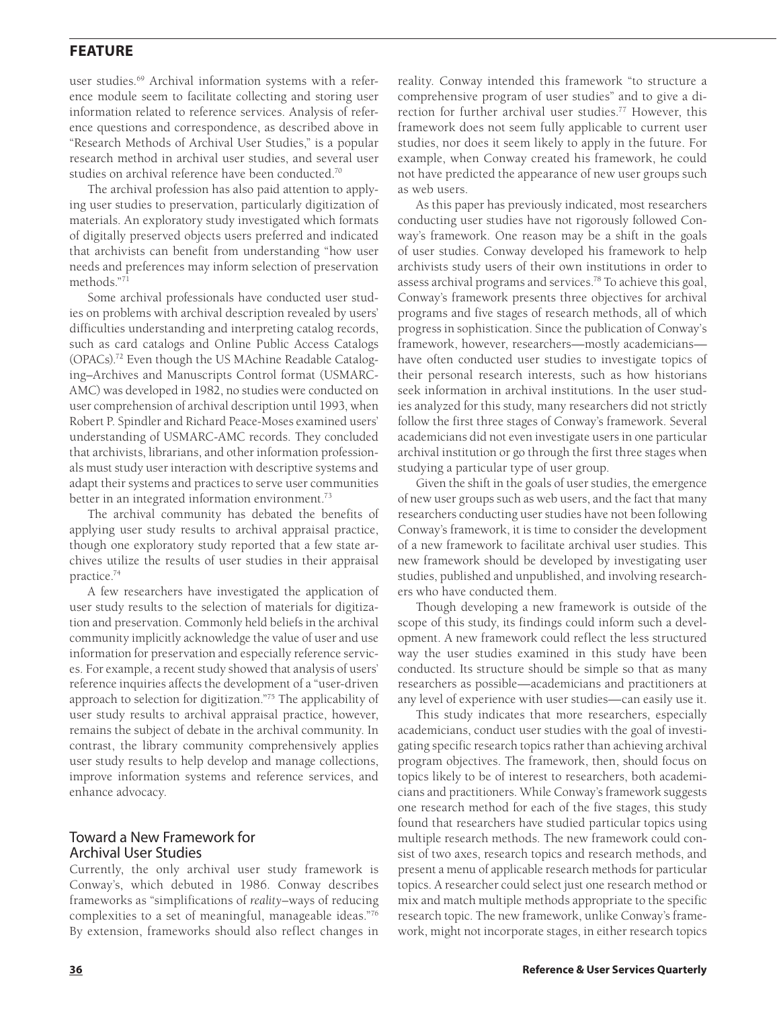user studies.<sup>69</sup> Archival information systems with a reference module seem to facilitate collecting and storing user information related to reference services. Analysis of reference questions and correspondence, as described above in "Research Methods of Archival User Studies," is a popular research method in archival user studies, and several user studies on archival reference have been conducted.<sup>70</sup>

The archival profession has also paid attention to applying user studies to preservation, particularly digitization of materials. An exploratory study investigated which formats of digitally preserved objects users preferred and indicated that archivists can benefit from understanding "how user needs and preferences may inform selection of preservation methods."71

Some archival professionals have conducted user studies on problems with archival description revealed by users' difficulties understanding and interpreting catalog records, such as card catalogs and Online Public Access Catalogs (OPACs).72 Even though the US MAchine Readable Cataloging–Archives and Manuscripts Control format (USMARC-AMC) was developed in 1982, no studies were conducted on user comprehension of archival description until 1993, when Robert P. Spindler and Richard Peace-Moses examined users' understanding of USMARC-AMC records. They concluded that archivists, librarians, and other information professionals must study user interaction with descriptive systems and adapt their systems and practices to serve user communities better in an integrated information environment.<sup>73</sup>

The archival community has debated the benefits of applying user study results to archival appraisal practice, though one exploratory study reported that a few state archives utilize the results of user studies in their appraisal practice.74

A few researchers have investigated the application of user study results to the selection of materials for digitization and preservation. Commonly held beliefs in the archival community implicitly acknowledge the value of user and use information for preservation and especially reference services. For example, a recent study showed that analysis of users' reference inquiries affects the development of a "user-driven approach to selection for digitization."75 The applicability of user study results to archival appraisal practice, however, remains the subject of debate in the archival community. In contrast, the library community comprehensively applies user study results to help develop and manage collections, improve information systems and reference services, and enhance advocacy.

#### Toward a New Framework for Archival User Studies

Currently, the only archival user study framework is Conway's, which debuted in 1986. Conway describes frameworks as "simplifications of *reality*–ways of reducing complexities to a set of meaningful, manageable ideas."76 By extension, frameworks should also reflect changes in

reality. Conway intended this framework "to structure a comprehensive program of user studies" and to give a direction for further archival user studies.<sup>77</sup> However, this framework does not seem fully applicable to current user studies, nor does it seem likely to apply in the future. For example, when Conway created his framework, he could not have predicted the appearance of new user groups such as web users.

As this paper has previously indicated, most researchers conducting user studies have not rigorously followed Conway's framework. One reason may be a shift in the goals of user studies. Conway developed his framework to help archivists study users of their own institutions in order to assess archival programs and services.<sup>78</sup> To achieve this goal, Conway's framework presents three objectives for archival programs and five stages of research methods, all of which progress in sophistication. Since the publication of Conway's framework, however, researchers—mostly academicians have often conducted user studies to investigate topics of their personal research interests, such as how historians seek information in archival institutions. In the user studies analyzed for this study, many researchers did not strictly follow the first three stages of Conway's framework. Several academicians did not even investigate users in one particular archival institution or go through the first three stages when studying a particular type of user group.

Given the shift in the goals of user studies, the emergence of new user groups such as web users, and the fact that many researchers conducting user studies have not been following Conway's framework, it is time to consider the development of a new framework to facilitate archival user studies. This new framework should be developed by investigating user studies, published and unpublished, and involving researchers who have conducted them.

Though developing a new framework is outside of the scope of this study, its findings could inform such a development. A new framework could reflect the less structured way the user studies examined in this study have been conducted. Its structure should be simple so that as many researchers as possible—academicians and practitioners at any level of experience with user studies—can easily use it.

This study indicates that more researchers, especially academicians, conduct user studies with the goal of investigating specific research topics rather than achieving archival program objectives. The framework, then, should focus on topics likely to be of interest to researchers, both academicians and practitioners. While Conway's framework suggests one research method for each of the five stages, this study found that researchers have studied particular topics using multiple research methods. The new framework could consist of two axes, research topics and research methods, and present a menu of applicable research methods for particular topics. A researcher could select just one research method or mix and match multiple methods appropriate to the specific research topic. The new framework, unlike Conway's framework, might not incorporate stages, in either research topics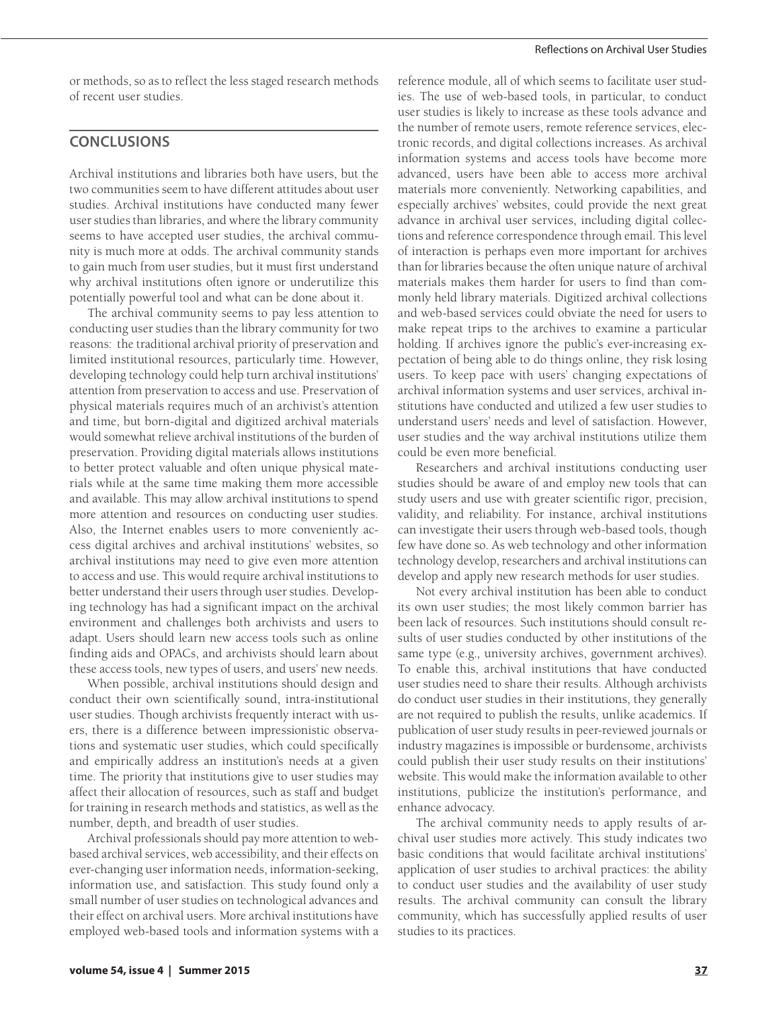or methods, so as to reflect the less staged research methods of recent user studies.

## **CONCLUSIONS**

Archival institutions and libraries both have users, but the two communities seem to have different attitudes about user studies. Archival institutions have conducted many fewer user studies than libraries, and where the library community seems to have accepted user studies, the archival community is much more at odds. The archival community stands to gain much from user studies, but it must first understand why archival institutions often ignore or underutilize this potentially powerful tool and what can be done about it.

The archival community seems to pay less attention to conducting user studies than the library community for two reasons: the traditional archival priority of preservation and limited institutional resources, particularly time. However, developing technology could help turn archival institutions' attention from preservation to access and use. Preservation of physical materials requires much of an archivist's attention and time, but born-digital and digitized archival materials would somewhat relieve archival institutions of the burden of preservation. Providing digital materials allows institutions to better protect valuable and often unique physical materials while at the same time making them more accessible and available. This may allow archival institutions to spend more attention and resources on conducting user studies. Also, the Internet enables users to more conveniently access digital archives and archival institutions' websites, so archival institutions may need to give even more attention to access and use. This would require archival institutions to better understand their users through user studies. Developing technology has had a significant impact on the archival environment and challenges both archivists and users to adapt. Users should learn new access tools such as online finding aids and OPACs, and archivists should learn about these access tools, new types of users, and users' new needs.

When possible, archival institutions should design and conduct their own scientifically sound, intra-institutional user studies. Though archivists frequently interact with users, there is a difference between impressionistic observations and systematic user studies, which could specifically and empirically address an institution's needs at a given time. The priority that institutions give to user studies may affect their allocation of resources, such as staff and budget for training in research methods and statistics, as well as the number, depth, and breadth of user studies.

Archival professionals should pay more attention to webbased archival services, web accessibility, and their effects on ever-changing user information needs, information-seeking, information use, and satisfaction. This study found only a small number of user studies on technological advances and their effect on archival users. More archival institutions have employed web-based tools and information systems with a

reference module, all of which seems to facilitate user studies. The use of web-based tools, in particular, to conduct user studies is likely to increase as these tools advance and the number of remote users, remote reference services, electronic records, and digital collections increases. As archival information systems and access tools have become more advanced, users have been able to access more archival materials more conveniently. Networking capabilities, and especially archives' websites, could provide the next great advance in archival user services, including digital collections and reference correspondence through email. This level of interaction is perhaps even more important for archives than for libraries because the often unique nature of archival materials makes them harder for users to find than commonly held library materials. Digitized archival collections and web-based services could obviate the need for users to make repeat trips to the archives to examine a particular holding. If archives ignore the public's ever-increasing expectation of being able to do things online, they risk losing users. To keep pace with users' changing expectations of archival information systems and user services, archival institutions have conducted and utilized a few user studies to understand users' needs and level of satisfaction. However, user studies and the way archival institutions utilize them could be even more beneficial.

Researchers and archival institutions conducting user studies should be aware of and employ new tools that can study users and use with greater scientific rigor, precision, validity, and reliability. For instance, archival institutions can investigate their users through web-based tools, though few have done so. As web technology and other information technology develop, researchers and archival institutions can develop and apply new research methods for user studies.

Not every archival institution has been able to conduct its own user studies; the most likely common barrier has been lack of resources. Such institutions should consult results of user studies conducted by other institutions of the same type (e.g., university archives, government archives). To enable this, archival institutions that have conducted user studies need to share their results. Although archivists do conduct user studies in their institutions, they generally are not required to publish the results, unlike academics. If publication of user study results in peer-reviewed journals or industry magazines is impossible or burdensome, archivists could publish their user study results on their institutions' website. This would make the information available to other institutions, publicize the institution's performance, and enhance advocacy.

The archival community needs to apply results of archival user studies more actively. This study indicates two basic conditions that would facilitate archival institutions' application of user studies to archival practices: the ability to conduct user studies and the availability of user study results. The archival community can consult the library community, which has successfully applied results of user studies to its practices.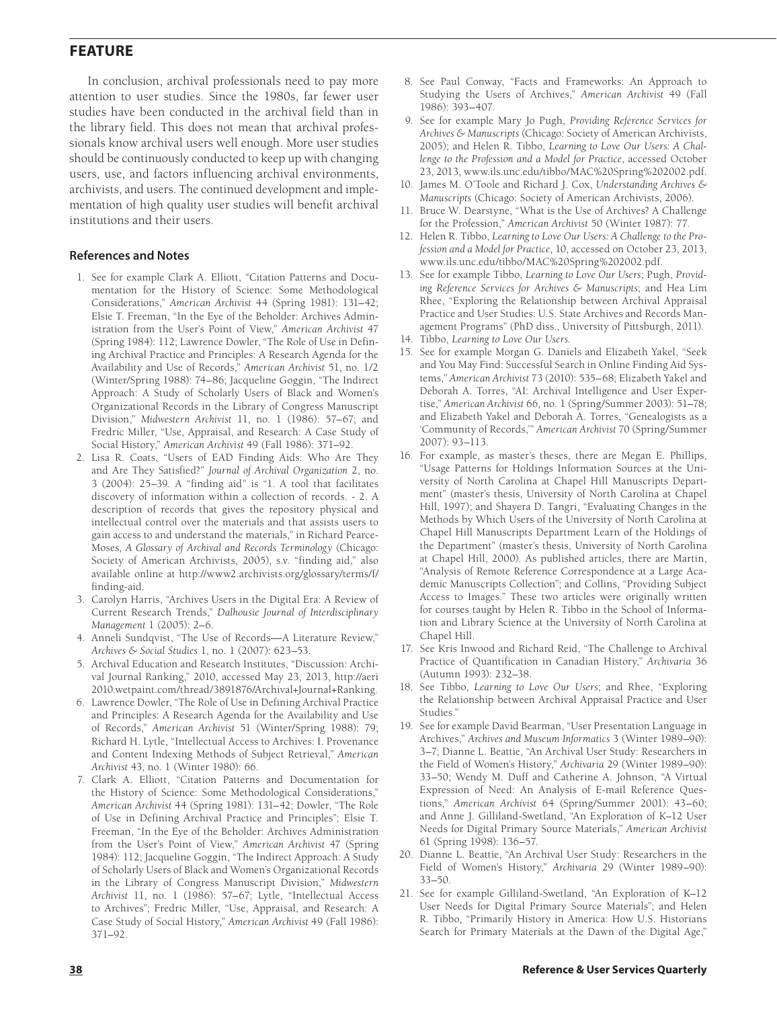In conclusion, archival professionals need to pay more attention to user studies. Since the 1980s, far fewer user studies have been conducted in the archival field than in the library field. This does not mean that archival professionals know archival users well enough. More user studies should be continuously conducted to keep up with changing users, use, and factors influencing archival environments, archivists, and users. The continued development and implementation of high quality user studies will benefit archival institutions and their users.

#### **References and Notes**

- 1. See for example Clark A. Elliott, "Citation Patterns and Documentation for the History of Science: Some Methodological Considerations," *American Archivist* 44 (Spring 1981): 131–42; Elsie T. Freeman, "In the Eye of the Beholder: Archives Administration from the User's Point of View," *American Archivist* 47 (Spring 1984): 112; Lawrence Dowler, "The Role of Use in Defining Archival Practice and Principles: A Research Agenda for the Availability and Use of Records," *American Archivist* 51, no. 1/2 (Winter/Spring 1988): 74–86; Jacqueline Goggin, "The Indirect Approach: A Study of Scholarly Users of Black and Women's Organizational Records in the Library of Congress Manuscript Division," *Midwestern Archivist* 11, no. 1 (1986): 57–67; and Fredric Miller, "Use, Appraisal, and Research: A Case Study of Social History," *American Archivist* 49 (Fall 1986): 371–92.
- 2. Lisa R. Coats, "Users of EAD Finding Aids: Who Are They and Are They Satisfied?" *Journal of Archival Organization* 2, no. 3 (2004): 25–39. A "finding aid" is "1. A tool that facilitates discovery of information within a collection of records. - 2. A description of records that gives the repository physical and intellectual control over the materials and that assists users to gain access to and understand the materials," in Richard Pearce-Moses*, A Glossary of Archival and Records Terminology* (Chicago: Society of American Archivists, 2005), s.v. "finding aid," also available online at [http://www2.archivists.org/glossary/terms/f/](http://www2.archivists.org/glossary/terms/f/finding-aid) [finding-aid.](http://www2.archivists.org/glossary/terms/f/finding-aid)
- 3. Carolyn Harris, "Archives Users in the Digital Era: A Review of Current Research Trends," *Dalhousie Journal of Interdisciplinary Management* 1 (2005): 2–6.
- 4. Anneli Sundqvist, "The Use of Records—A Literature Review," *Archives & Social Studies* 1, no. 1 (2007): 623–53.
- 5. Archival Education and Research Institutes, "Discussion: Archival Journal Ranking," 2010, accessed May 23, 2013, [http://aeri](http://aeri2010.wetpaint.com/thread/3891876/Archival+Journal+Ranking) [2010.wetpaint.com/thread/3891876/Archival+Journal+Ranking](http://aeri2010.wetpaint.com/thread/3891876/Archival+Journal+Ranking).
- 6. Lawrence Dowler, "The Role of Use in Defining Archival Practice and Principles: A Research Agenda for the Availability and Use of Records," *American Archivist* 51 (Winter/Spring 1988): 79; Richard H. Lytle, "Intellectual Access to Archives: I. Provenance and Content Indexing Methods of Subject Retrieval," *American Archivist* 43, no. 1 (Winter 1980): 66.
- 7. Clark A. Elliott, "Citation Patterns and Documentation for the History of Science: Some Methodological Considerations," *American Archivist* 44 (Spring 1981): 131–42; Dowler, "The Role of Use in Defining Archival Practice and Principles"; Elsie T. Freeman, "In the Eye of the Beholder: Archives Administration from the User's Point of View," *American Archivist* 47 (Spring 1984): 112; Jacqueline Goggin, "The Indirect Approach: A Study of Scholarly Users of Black and Women's Organizational Records in the Library of Congress Manuscript Division," *Midwestern Archivist* 11, no. 1 (1986): 57–67; Lytle, "Intellectual Access to Archives"; Fredric Miller, "Use, Appraisal, and Research: A Case Study of Social History," *American Archivist* 49 (Fall 1986): 371–92.
- 8. See Paul Conway, "Facts and Frameworks: An Approach to Studying the Users of Archives," *American Archivist* 49 (Fall 1986): 393–407.
- 9. See for example Mary Jo Pugh, *Providing Reference Services for Archives & Manuscripts* (Chicago: Society of American Archivists, 2005); and Helen R. Tibbo, *Learning to Love Our Users: A Challenge to the Profession and a Model for Practice*, accessed October 23, 2013, [www.ils.unc.edu/tibbo/MAC%20Spring%202002.pdf.](http://www.ils.unc.edu/tibbo/MAC%20Spring%202002.pdf)
- 10. James M. O'Toole and Richard J. Cox, *Understanding Archives & Manuscripts* (Chicago: Society of American Archivists, 2006).
- 11. Bruce W. Dearstyne, "What is the Use of Archives? A Challenge for the Profession," *American Archivist* 50 (Winter 1987): 77.
- 12. Helen R. Tibbo, *Learning to Love Our Users: A Challenge to the Profession and a Model for Practice*, 10, accessed on October 23, 2013, [www.ils.unc.edu/tibbo/MAC%20Spring%202002.pdf.](http://www.ils.unc.edu/tibbo/MAC%20Spring%202002.pdf)
- 13. See for example Tibbo, *Learning to Love Our Users*; Pugh, *Providing Reference Services for Archives & Manuscripts*; and Hea Lim Rhee, "Exploring the Relationship between Archival Appraisal Practice and User Studies: U.S. State Archives and Records Management Programs" (PhD diss., University of Pittsburgh, 2011).
- 14. Tibbo, *Learning to Love Our Users.*
- 15. See for example Morgan G. Daniels and Elizabeth Yakel, "Seek and You May Find: Successful Search in Online Finding Aid Systems," *American Archivist* 73 (2010): 535–68; Elizabeth Yakel and Deborah A. Torres, "AI: Archival Intelligence and User Expertise," *American Archivist* 66, no. 1 (Spring/Summer 2003): 51–78; and Elizabeth Yakel and Deborah A. Torres, "Genealogists as a 'Community of Records,'" *American Archivist* 70 (Spring/Summer 2007): 93–113.
- 16. For example, as master's theses, there are Megan E. Phillips, "Usage Patterns for Holdings Information Sources at the University of North Carolina at Chapel Hill Manuscripts Department" (master's thesis, University of North Carolina at Chapel Hill, 1997); and Shayera D. Tangri, "Evaluating Changes in the Methods by Which Users of the University of North Carolina at Chapel Hill Manuscripts Department Learn of the Holdings of the Department" (master's thesis, University of North Carolina at Chapel Hill, 2000). As published articles, there are Martin, "Analysis of Remote Reference Correspondence at a Large Academic Manuscripts Collection"; and Collins, "Providing Subject Access to Images." These two articles were originally written for courses taught by Helen R. Tibbo in the School of Information and Library Science at the University of North Carolina at Chapel Hill.
- 17. See Kris Inwood and Richard Reid, "The Challenge to Archival Practice of Quantification in Canadian History," *Archivaria* 36 (Autumn 1993): 232–38.
- 18. See Tibbo, *Learning to Love Our Users*; and Rhee, "Exploring the Relationship between Archival Appraisal Practice and User Studies."
- 19. See for example David Bearman, "User Presentation Language in Archives," *Archives and Museum Informatics* 3 (Winter 1989–90): 3–7; Dianne L. Beattie, "An Archival User Study: Researchers in the Field of Women's History," *Archivaria* 29 (Winter 1989–90): 33–50; Wendy M. Duff and Catherine A. Johnson, "A Virtual Expression of Need: An Analysis of E-mail Reference Questions," *American Archivist* 64 (Spring/Summer 2001): 43–60; and Anne J. Gilliland-Swetland, "An Exploration of K–12 User Needs for Digital Primary Source Materials," *American Archivist* 61 (Spring 1998): 136–57.
- 20. Dianne L. Beattie, "An Archival User Study: Researchers in the Field of Women's History," *Archivaria* 29 (Winter 1989–90): 33–50.
- 21. See for example Gilliland-Swetland, "An Exploration of K–12 User Needs for Digital Primary Source Materials"; and Helen R. Tibbo, "Primarily History in America: How U.S. Historians Search for Primary Materials at the Dawn of the Digital Age,"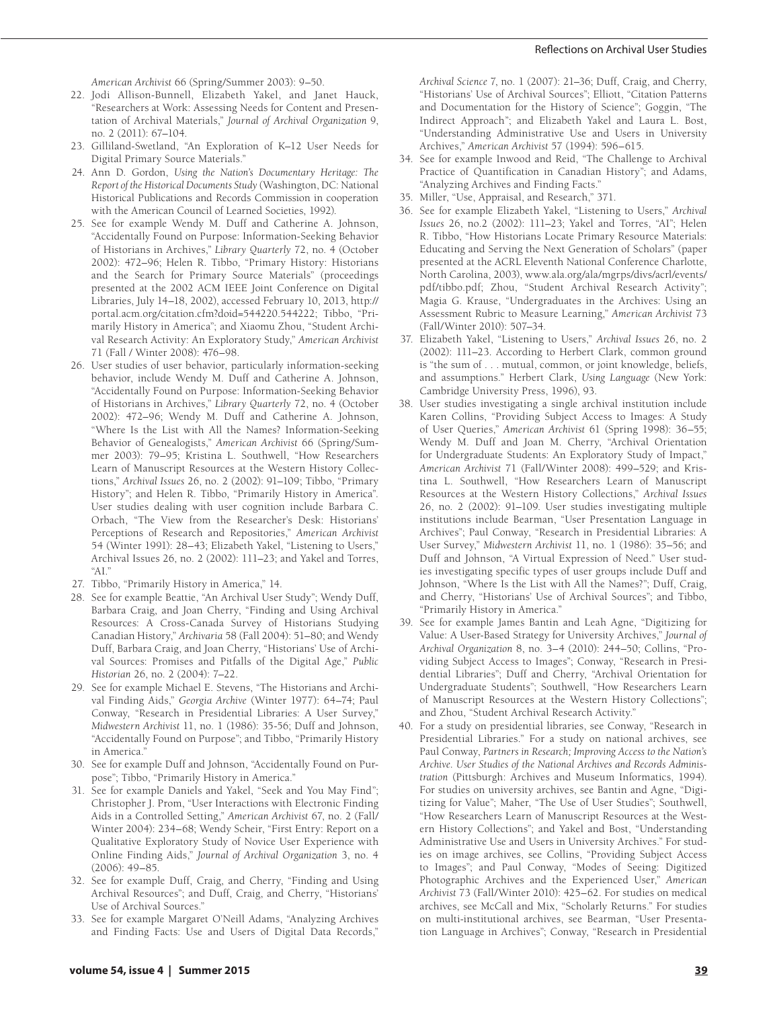*American Archivist* 66 (Spring/Summer 2003): 9–50.

- 22. Jodi Allison-Bunnell, Elizabeth Yakel, and Janet Hauck, "Researchers at Work: Assessing Needs for Content and Presentation of Archival Materials," *Journal of Archival Organization* 9, no. 2 (2011): 67–104.
- 23. Gilliland-Swetland, "An Exploration of K–12 User Needs for Digital Primary Source Materials."
- 24. Ann D. Gordon, *Using the Nation's Documentary Heritage: The Report of the Historical Documents Study* (Washington, DC: National Historical Publications and Records Commission in cooperation with the American Council of Learned Societies, 1992).
- 25. See for example Wendy M. Duff and Catherine A. Johnson, "Accidentally Found on Purpose: Information-Seeking Behavior of Historians in Archives," *Library Quarterly* 72, no. 4 (October 2002): 472–96; Helen R. Tibbo, "Primary History: Historians and the Search for Primary Source Materials" (proceedings presented at the 2002 ACM IEEE Joint Conference on Digital Libraries, July 14–18, 2002), accessed February 10, 2013, [http://](http://portal.acm.org/citation.cfm?doid=544220.544222) [portal.acm.org/citation.cfm?doid=544220.544222;](http://portal.acm.org/citation.cfm?doid=544220.544222) Tibbo, "Primarily History in America"; and Xiaomu Zhou, "Student Archival Research Activity: An Exploratory Study," *American Archivist* 71 (Fall / Winter 2008): 476–98.
- 26. User studies of user behavior, particularly information-seeking behavior, include Wendy M. Duff and Catherine A. Johnson, "Accidentally Found on Purpose: Information-Seeking Behavior of Historians in Archives," *Library Quarterly* 72, no. 4 (October 2002): 472–96; Wendy M. Duff and Catherine A. Johnson, "Where Is the List with All the Names? Information-Seeking Behavior of Genealogists," *American Archivist* 66 (Spring/Summer 2003): 79–95; Kristina L. Southwell, "How Researchers Learn of Manuscript Resources at the Western History Collections," *Archival Issues* 26, no. 2 (2002): 91–109; Tibbo, "Primary History"; and Helen R. Tibbo, "Primarily History in America". User studies dealing with user cognition include Barbara C. Orbach, "The View from the Researcher's Desk: Historians' Perceptions of Research and Repositories," *American Archivist* 54 (Winter 1991): 28–43; Elizabeth Yakel, "Listening to Users," Archival Issues 26, no. 2 (2002): 111–23; and Yakel and Torres, "AI."
- 27. Tibbo, "Primarily History in America," 14.
- 28. See for example Beattie, "An Archival User Study"; Wendy Duff, Barbara Craig, and Joan Cherry, "Finding and Using Archival Resources: A Cross-Canada Survey of Historians Studying Canadian History," *Archivaria* 58 (Fall 2004): 51–80; and Wendy Duff, Barbara Craig, and Joan Cherry, "Historians' Use of Archival Sources: Promises and Pitfalls of the Digital Age," *Public Historian* 26, no. 2 (2004): 7–22.
- 29. See for example Michael E. Stevens, "The Historians and Archival Finding Aids," *Georgia Archive* (Winter 1977): 64–74; Paul Conway, "Research in Presidential Libraries: A User Survey," *Midwestern Archivist* 11, no. 1 (1986): 35-56; Duff and Johnson, "Accidentally Found on Purpose"; and Tibbo, "Primarily History in America."
- 30. See for example Duff and Johnson, "Accidentally Found on Purpose"; Tibbo, "Primarily History in America."
- 31. See for example Daniels and Yakel, "Seek and You May Find"; Christopher J. Prom, "User Interactions with Electronic Finding Aids in a Controlled Setting," *American Archivist* 67, no. 2 (Fall/ Winter 2004): 234–68; Wendy Scheir, "First Entry: Report on a Qualitative Exploratory Study of Novice User Experience with Online Finding Aids," *Journal of Archival Organization* 3, no. 4 (2006): 49–85.
- 32. See for example Duff, Craig, and Cherry, "Finding and Using Archival Resources"; and Duff, Craig, and Cherry, "Historians' Use of Archival Sources."
- 33. See for example Margaret O'Neill Adams, "Analyzing Archives and Finding Facts: Use and Users of Digital Data Records,"
- 34. See for example Inwood and Reid, "The Challenge to Archival Practice of Quantification in Canadian History"; and Adams, "Analyzing Archives and Finding Facts."
- 35. Miller, "Use, Appraisal, and Research," 371.
- 36. See for example Elizabeth Yakel, "Listening to Users," *Archival Issues* 26, no.2 (2002): 111–23; Yakel and Torres, "AI"; Helen R. Tibbo, "How Historians Locate Primary Resource Materials: Educating and Serving the Next Generation of Scholars" (paper presented at the ACRL Eleventh National Conference Charlotte, North Carolina, 2003), [www.ala.org/ala/mgrps/divs/acrl/events/](http://www.ala.org/ala/mgrps/divs/acrl/events/pdf/tibbo.pdf) [pdf/tibbo.pdf](http://www.ala.org/ala/mgrps/divs/acrl/events/pdf/tibbo.pdf); Zhou, "Student Archival Research Activity"; Magia G. Krause, "Undergraduates in the Archives: Using an Assessment Rubric to Measure Learning," *American Archivist* 73 (Fall/Winter 2010): 507–34.
- 37. Elizabeth Yakel, "Listening to Users," *Archival Issues* 26, no. 2 (2002): 111–23. According to Herbert Clark, common ground is "the sum of . . . mutual, common, or joint knowledge, beliefs, and assumptions." Herbert Clark, *Using Language* (New York: Cambridge University Press, 1996), 93.
- 38. User studies investigating a single archival institution include Karen Collins, "Providing Subject Access to Images: A Study of User Queries," *American Archivist* 61 (Spring 1998): 36–55; Wendy M. Duff and Joan M. Cherry, "Archival Orientation for Undergraduate Students: An Exploratory Study of Impact," *American Archivist* 71 (Fall/Winter 2008): 499–529; and Kristina L. Southwell, "How Researchers Learn of Manuscript Resources at the Western History Collections," *Archival Issues* 26, no. 2 (2002): 91–109. User studies investigating multiple institutions include Bearman, "User Presentation Language in Archives"; Paul Conway, "Research in Presidential Libraries: A User Survey," *Midwestern Archivist* 11, no. 1 (1986): 35–56; and Duff and Johnson, "A Virtual Expression of Need." User studies investigating specific types of user groups include Duff and Johnson, "Where Is the List with All the Names?"; Duff, Craig, and Cherry, "Historians' Use of Archival Sources"; and Tibbo, "Primarily History in America."
- 39. See for example James Bantin and Leah Agne, "Digitizing for Value: A User-Based Strategy for University Archives," *Journal of Archival Organization* 8, no. 3–4 (2010): 244–50; Collins, "Providing Subject Access to Images"; Conway, "Research in Presidential Libraries"; Duff and Cherry, "Archival Orientation for Undergraduate Students"; Southwell, "How Researchers Learn of Manuscript Resources at the Western History Collections"; and Zhou, "Student Archival Research Activity."
- 40. For a study on presidential libraries, see Conway, "Research in Presidential Libraries." For a study on national archives, see Paul Conway, *Partners in Research; Improving Access to the Nation's Archive. User Studies of the National Archives and Records Administration* (Pittsburgh: Archives and Museum Informatics, 1994). For studies on university archives, see Bantin and Agne, "Digitizing for Value"; Maher, "The Use of User Studies"; Southwell, "How Researchers Learn of Manuscript Resources at the Western History Collections"; and Yakel and Bost, "Understanding Administrative Use and Users in University Archives." For studies on image archives, see Collins, "Providing Subject Access to Images"; and Paul Conway, "Modes of Seeing: Digitized Photographic Archives and the Experienced User," *American Archivist* 73 (Fall/Winter 2010): 425–62. For studies on medical archives, see McCall and Mix, "Scholarly Returns." For studies on multi-institutional archives, see Bearman, "User Presentation Language in Archives"; Conway, "Research in Presidential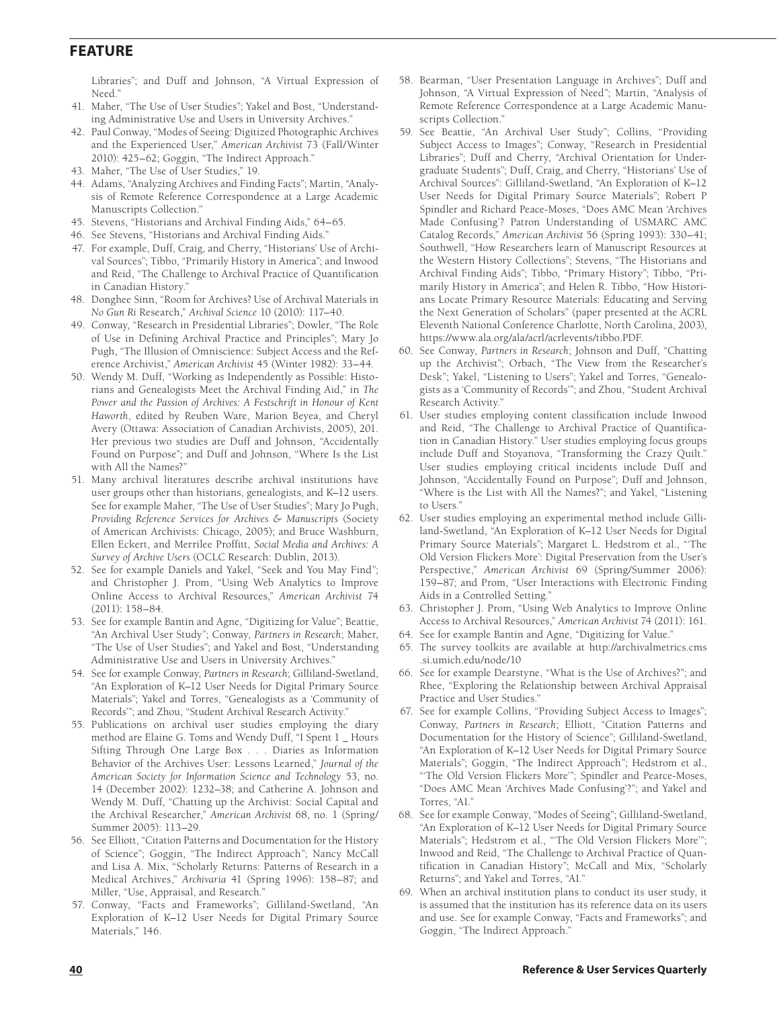Libraries"; and Duff and Johnson, "A Virtual Expression of Need."

- 41. Maher, "The Use of User Studies"; Yakel and Bost, "Understanding Administrative Use and Users in University Archives."
- 42. Paul Conway, "Modes of Seeing: Digitized Photographic Archives and the Experienced User," *American Archivist* 73 (Fall/Winter 2010): 425–62; Goggin, "The Indirect Approach."
- 43. Maher, "The Use of User Studies," 19.
- 44. Adams, "Analyzing Archives and Finding Facts"; Martin, "Analysis of Remote Reference Correspondence at a Large Academic Manuscripts Collection."
- 45. Stevens, "Historians and Archival Finding Aids," 64–65.
- 46. See Stevens, "Historians and Archival Finding Aids."
- 47. For example, Duff, Craig, and Cherry, "Historians' Use of Archival Sources"; Tibbo, "Primarily History in America"; and Inwood and Reid, "The Challenge to Archival Practice of Quantification in Canadian History."
- 48. Donghee Sinn, "Room for Archives? Use of Archival Materials in *No Gun Ri* Research," *Archival Science* 10 (2010): 117–40.
- 49. Conway, "Research in Presidential Libraries"; Dowler, "The Role of Use in Defining Archival Practice and Principles"; Mary Jo Pugh, "The Illusion of Omniscience: Subject Access and the Reference Archivist," *American Archivist* 45 (Winter 1982): 33–44.
- 50. Wendy M. Duff, "Working as Independently as Possible: Historians and Genealogists Meet the Archival Finding Aid," in *The*  Power and the Passion of Archives: A Festschrift in Honour of Kent *Haworth*, edited by Reuben Ware, Marion Beyea, and Cheryl Avery (Ottawa: Association of Canadian Archivists, 2005), 201. Her previous two studies are Duff and Johnson, "Accidentally Found on Purpose"; and Duff and Johnson, "Where Is the List with All the Names?"
- 51. Many archival literatures describe archival institutions have user groups other than historians, genealogists, and K–12 users. See for example Maher, "The Use of User Studies"; Mary Jo Pugh, *Providing Reference Services for Archives & Manuscripts* (Society of American Archivists: Chicago, 2005); and Bruce Washburn, Ellen Eckert, and Merrilee Proffitt, *Social Media and Archives: A Survey of Archive Users* (OCLC Research: Dublin, 2013).
- 52. See for example Daniels and Yakel, "Seek and You May Find"; and Christopher J. Prom, "Using Web Analytics to Improve Online Access to Archival Resources," *American Archivist* 74 (2011): 158–84.
- 53. See for example Bantin and Agne, "Digitizing for Value"; Beattie, "An Archival User Study"; Conway, *Partners in Research*; Maher, "The Use of User Studies"; and Yakel and Bost, "Understanding Administrative Use and Users in University Archives."
- 54. See for example Conway, *Partners in Research*; Gilliland-Swetland, "An Exploration of K–12 User Needs for Digital Primary Source Materials"; Yakel and Torres, "Genealogists as a 'Community of Records'"; and Zhou, "Student Archival Research Activity."
- 55. Publications on archival user studies employing the diary method are Elaine G. Toms and Wendy Duff, "I Spent 1 \_ Hours Sifting Through One Large Box . . . Diaries as Information Behavior of the Archives User: Lessons Learned," *Journal of the American Society for Information Science and Technology* 53, no. 14 (December 2002): 1232–38; and Catherine A. Johnson and Wendy M. Duff, "Chatting up the Archivist: Social Capital and the Archival Researcher," *American Archivist* 68, no. 1 (Spring/ Summer 2005): 113–29.
- 56. See Elliott, "Citation Patterns and Documentation for the History of Science"; Goggin, "The Indirect Approach"; Nancy McCall and Lisa A. Mix, "Scholarly Returns: Patterns of Research in a Medical Archives," *Archivaria* 41 (Spring 1996): 158–87; and Miller, "Use, Appraisal, and Research."
- 57. Conway, "Facts and Frameworks"; Gilliland-Swetland, "An Exploration of K–12 User Needs for Digital Primary Source Materials," 146.
- 58. Bearman, "User Presentation Language in Archives"; Duff and Johnson, "A Virtual Expression of Need"; Martin, "Analysis of Remote Reference Correspondence at a Large Academic Manuscripts Collection."
- 59. See Beattie, "An Archival User Study"; Collins, "Providing Subject Access to Images"; Conway, "Research in Presidential Libraries"; Duff and Cherry, "Archival Orientation for Undergraduate Students"; Duff, Craig, and Cherry, "Historians' Use of Archival Sources": Gilliland-Swetland, "An Exploration of K–12 User Needs for Digital Primary Source Materials"; Robert P Spindler and Richard Peace-Moses, "Does AMC Mean 'Archives Made Confusing'? Patron Understanding of USMARC AMC Catalog Records," *American Archivist* 56 (Spring 1993): 330–41; Southwell, "How Researchers learn of Manuscript Resources at the Western History Collections"; Stevens, "The Historians and Archival Finding Aids"; Tibbo, "Primary History"; Tibbo, "Primarily History in America"; and Helen R. Tibbo, "How Historians Locate Primary Resource Materials: Educating and Serving the Next Generation of Scholars" (paper presented at the ACRL Eleventh National Conference Charlotte, North Carolina, 2003), [https://www.ala.org/ala/acrl/acrlevents/tibbo.PDF.](https://www.ala.org/ala/acrl/acrlevents/tibbo.PDF)
- 60. See Conway, *Partners in Research*; Johnson and Duff, "Chatting up the Archivist"; Orbach, "The View from the Researcher's Desk"; Yakel, "Listening to Users"; Yakel and Torres, "Genealogists as a 'Community of Records'"; and Zhou, "Student Archival Research Activity."
- 61. User studies employing content classification include Inwood and Reid, "The Challenge to Archival Practice of Quantification in Canadian History." User studies employing focus groups include Duff and Stoyanova, "Transforming the Crazy Quilt." User studies employing critical incidents include Duff and Johnson, "Accidentally Found on Purpose"; Duff and Johnson, "Where is the List with All the Names?"; and Yakel, "Listening to Users."
- 62. User studies employing an experimental method include Gilliland-Swetland, "An Exploration of K–12 User Needs for Digital Primary Source Materials"; Margaret L. Hedstrom et al., "'The Old Version Flickers More': Digital Preservation from the User's Perspective," *American Archivist* 69 (Spring/Summer 2006): 159–87; and Prom, "User Interactions with Electronic Finding Aids in a Controlled Setting."
- 63. Christopher J. Prom, "Using Web Analytics to Improve Online Access to Archival Resources," *American Archivist* 74 (2011): 161.
- 64. See for example Bantin and Agne, "Digitizing for Value."
- 65. The survey toolkits are available at [http://archivalmetrics.cms](http://archivalmetrics.cms.si.umich.edu/node/10) [.si.umich.edu/node/10](http://archivalmetrics.cms.si.umich.edu/node/10)
- 66. See for example Dearstyne, "What is the Use of Archives?"; and Rhee, "Exploring the Relationship between Archival Appraisal Practice and User Studies."
- 67. See for example Collins, "Providing Subject Access to Images"; Conway, *Partners in Research*; Elliott, "Citation Patterns and Documentation for the History of Science"; Gilliland-Swetland, "An Exploration of K–12 User Needs for Digital Primary Source Materials"; Goggin, "The Indirect Approach"; Hedstrom et al., "'The Old Version Flickers More'"; Spindler and Pearce-Moses, "Does AMC Mean 'Archives Made Confusing'?"; and Yakel and Torres, "AI."
- 68. See for example Conway, "Modes of Seeing"; Gilliland-Swetland, "An Exploration of K–12 User Needs for Digital Primary Source Materials"; Hedstrom et al., "'The Old Version Flickers More'"; Inwood and Reid, "The Challenge to Archival Practice of Quantification in Canadian History"; McCall and Mix, "Scholarly Returns"; and Yakel and Torres, "AI."
- 69. When an archival institution plans to conduct its user study, it is assumed that the institution has its reference data on its users and use. See for example Conway, "Facts and Frameworks"; and Goggin, "The Indirect Approach."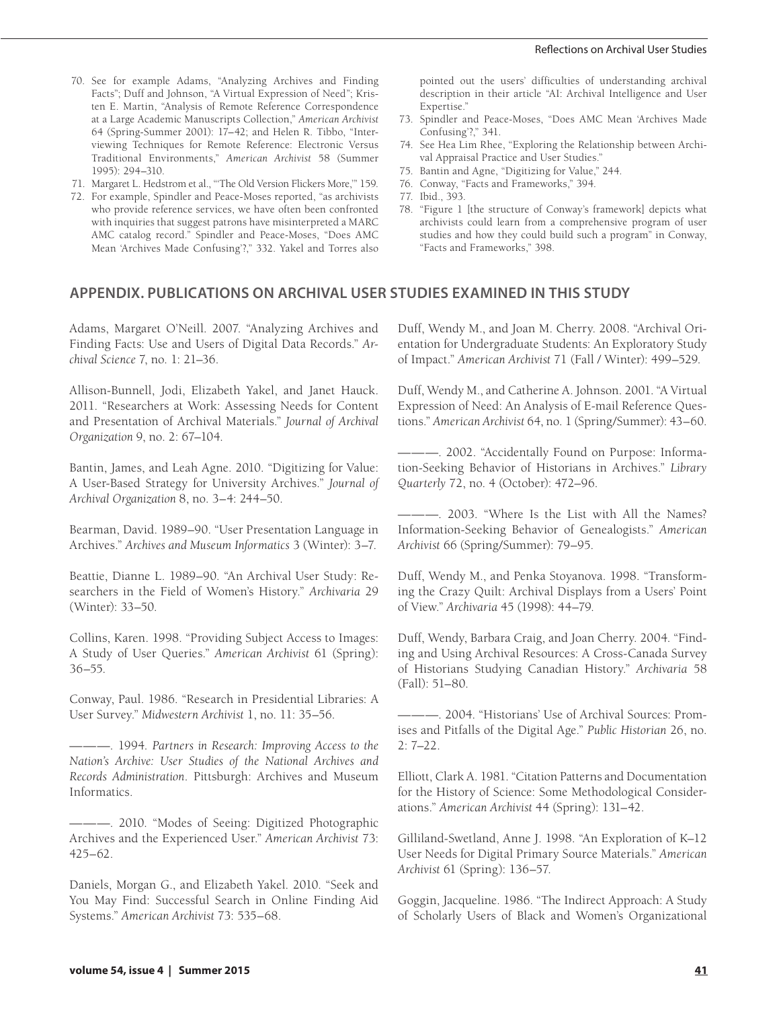- 70. See for example Adams, "Analyzing Archives and Finding Facts"; Duff and Johnson, "A Virtual Expression of Need"; Kristen E. Martin, "Analysis of Remote Reference Correspondence at a Large Academic Manuscripts Collection," *American Archivist* 64 (Spring-Summer 2001): 17–42; and Helen R. Tibbo, "Interviewing Techniques for Remote Reference: Electronic Versus Traditional Environments," *American Archivist* 58 (Summer 1995): 294–310.
- 71. Margaret L. Hedstrom et al., "'The Old Version Flickers More,'" 159.
- 72. For example, Spindler and Peace-Moses reported, "as archivists who provide reference services, we have often been confronted with inquiries that suggest patrons have misinterpreted a MARC AMC catalog record." Spindler and Peace-Moses, "Does AMC Mean 'Archives Made Confusing'?," 332. Yakel and Torres also

pointed out the users' difficulties of understanding archival description in their article "AI: Archival Intelligence and User Expertise."

- 73. Spindler and Peace-Moses, "Does AMC Mean 'Archives Made Confusing'?," 341.
- 74. See Hea Lim Rhee, "Exploring the Relationship between Archival Appraisal Practice and User Studies."
- 75. Bantin and Agne, "Digitizing for Value," 244.
- 76. Conway, "Facts and Frameworks," 394.
- 77. Ibid., 393.
- 78. "Figure 1 [the structure of Conway's framework] depicts what archivists could learn from a comprehensive program of user studies and how they could build such a program" in Conway, "Facts and Frameworks," 398.

### **APPENDIX. PUBLICATIONS ON ARCHIVAL USER STUDIES EXAMINED IN THIS STUDY**

Adams, Margaret O'Neill. 2007. "Analyzing Archives and Finding Facts: Use and Users of Digital Data Records." *Archival Science* 7, no. 1: 21–36.

Allison-Bunnell, Jodi, Elizabeth Yakel, and Janet Hauck. 2011. "Researchers at Work: Assessing Needs for Content and Presentation of Archival Materials." *Journal of Archival Organization* 9, no. 2: 67–104.

Bantin, James, and Leah Agne. 2010. "Digitizing for Value: A User-Based Strategy for University Archives." *Journal of Archival Organization* 8, no. 3–4: 244–50.

Bearman, David. 1989–90. "User Presentation Language in Archives." *Archives and Museum Informatics* 3 (Winter): 3–7.

Beattie, Dianne L. 1989–90. "An Archival User Study: Researchers in the Field of Women's History." *Archivaria* 29 (Winter): 33–50.

Collins, Karen. 1998. "Providing Subject Access to Images: A Study of User Queries." *American Archivist* 61 (Spring): 36–55.

Conway, Paul. 1986. "Research in Presidential Libraries: A User Survey." *Midwestern Archivist* 1, no. 11: 35–56.

———. 1994. *Partners in Research: Improving Access to the Nation's Archive: User Studies of the National Archives and Records Administration*. Pittsburgh: Archives and Museum Informatics.

———. 2010. "Modes of Seeing: Digitized Photographic Archives and the Experienced User." *American Archivist* 73: 425–62.

Daniels, Morgan G., and Elizabeth Yakel. 2010. "Seek and You May Find: Successful Search in Online Finding Aid Systems." *American Archivist* 73: 535–68.

Duff, Wendy M., and Joan M. Cherry. 2008. "Archival Orientation for Undergraduate Students: An Exploratory Study of Impact." *American Archivist* 71 (Fall / Winter): 499–529.

Duff, Wendy M., and Catherine A. Johnson. 2001. "A Virtual Expression of Need: An Analysis of E-mail Reference Questions." *American Archivist* 64, no. 1 (Spring/Summer): 43–60.

———. 2002. "Accidentally Found on Purpose: Information-Seeking Behavior of Historians in Archives." *Library Quarterly* 72, no. 4 (October): 472–96.

———. 2003. "Where Is the List with All the Names? Information-Seeking Behavior of Genealogists." *American Archivist* 66 (Spring/Summer): 79–95.

Duff, Wendy M., and Penka Stoyanova. 1998. "Transforming the Crazy Quilt: Archival Displays from a Users' Point of View." *Archivaria* 45 (1998): 44–79.

Duff, Wendy, Barbara Craig, and Joan Cherry. 2004. "Finding and Using Archival Resources: A Cross-Canada Survey of Historians Studying Canadian History." *Archivaria* 58 (Fall): 51–80.

———. 2004. "Historians' Use of Archival Sources: Promises and Pitfalls of the Digital Age." *Public Historian* 26, no. 2: 7–22.

Elliott, Clark A. 1981. "Citation Patterns and Documentation for the History of Science: Some Methodological Considerations." *American Archivist* 44 (Spring): 131–42.

Gilliland-Swetland, Anne J. 1998. "An Exploration of K–12 User Needs for Digital Primary Source Materials." *American Archivist* 61 (Spring): 136–57.

Goggin, Jacqueline. 1986. "The Indirect Approach: A Study of Scholarly Users of Black and Women's Organizational